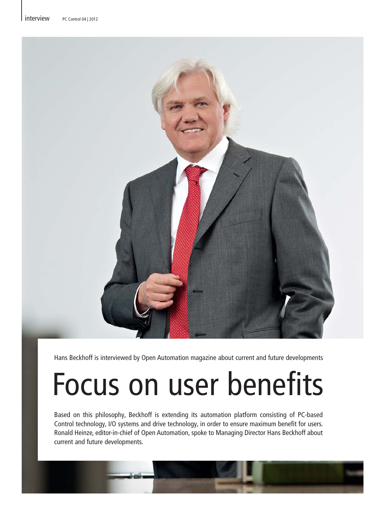

Hans Beckhoff is interviewed by Open Automation magazine about current and future developments

# Focus on user benefits

Based on this philosophy, Beckhoff is extending its automation platform consisting of PC-based Control technology, I/O systems and drive technology, in order to ensure maximum benefit for users. Ronald Heinze, editor-in-chief of Open Automation, spoke to Managing Director Hans Beckhoff about current and future developments.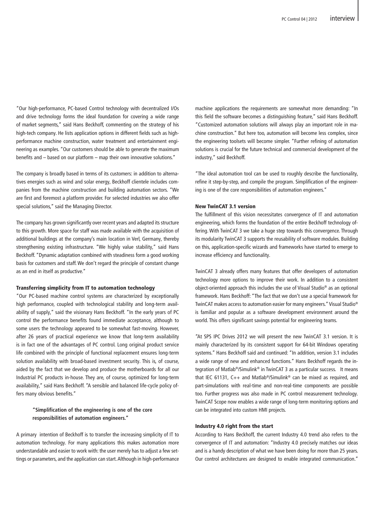"Our high-performance, PC-based Control technology with decentralized I/Os and drive technology forms the ideal foundation for covering a wide range of market segments," said Hans Beckhoff, commenting on the strategy of his high-tech company. He lists application options in different fields such as highperformance machine construction, water treatment and entertainment engineering as examples. "Our customers should be able to generate the maximum benefits and – based on our platform – map their own innovative solutions."

The company is broadly based in terms of its customers: in addition to alternatives energies such as wind and solar energy, Beckhoff clientele includes companies from the machine construction and building automation sectors. "We are first and foremost a platform provider. For selected industries we also offer special solutions," said the Managing Director.

The company has grown significantly over recent years and adapted its structure to this growth. More space for staff was made available with the acquisition of additional buildings at the company's main location in Verl, Germany, thereby strengthening existing infrastructure. "We highly value stability," said Hans Beckhoff. "Dynamic adaptation combined with steadiness form a good working basis for customers and staff. We don't regard the principle of constant change as an end in itself as productive."

#### Transferring simplicity from IT to automation technology

"Our PC-based machine control systems are characterized by exceptionally high performance, coupled with technological stability and long-term availability of supply," said the visionary Hans Beckhoff. "In the early years of PC control the performance benefits found immediate acceptance, although to some users the technology appeared to be somewhat fast-moving. However, after 26 years of practical experience we know that long-term availability is in fact one of the advantages of PC control. Long original product service life combined with the principle of functional replacement ensures long-term solution availability with broad-based investment security. This is, of course, aided by the fact that we develop and produce the motherboards for all our Industrial PC products in-house. They are, of course, optimized for long-term availability," said Hans Beckhoff. "A sensible and balanced life-cycle policy offers many obvious benefits."

### **"Simplification of the engineering is one of the core responsibilities of automation engineers."**

A primary intention of Beckhoff is to transfer the increasing simplicity of IT to automation technology. For many applications this makes automation more understandable and easier to work with: the user merely has to adjust a few settings or parameters, and the application can start. Although in high-performance machine applications the requirements are somewhat more demanding: "In this field the software becomes a distinguishing feature," said Hans Beckhoff. "Customized automation solutions will always play an important role in machine construction." But here too, automation will become less complex, since the engineering toolsets will become simpler. "Further refining of automation solutions is crucial for the future technical and commercial development of the industry," said Beckhoff.

"The ideal automation tool can be used to roughly describe the functionality, refine it step-by-step, and compile the program. Simplification of the engineering is one of the core responsibilities of automation engineers."

#### New TwinCAT 3.1 version

The fulfillment of this vision necessitates convergence of IT and automation engineering, which forms the foundation of the entire Beckhoff technology offering. With TwinCAT 3 we take a huge step towards this convergence. Through its modularity TwinCAT 3 supports the reusability of software modules. Building on this, application-specific wizards and frameworks have started to emerge to increase efficiency and functionality.

TwinCAT 3 already offers many features that offer developers of automation technology more options to improve their work. In addition to a consistent object-oriented approach this includes the use of Visual Studio® as an optional framework. Hans Beckhoff: "The fact that we don't use a special framework for TwinCAT makes access to automation easier for many engineers." Visual Studio® is familiar and popular as a software development environment around the world. This offers significant savings potential for engineering teams.

"At SPS IPC Drives 2012 we will present the new TwinCAT 3.1 version. It is mainly characterized by its consistent support for 64-bit Windows operating systems." Hans Beckhoff said and continued: "In addition, version 3.1 includes a wide range of new and enhanced functions." Hans Beckhoff regards the integration of Matlab®/Simulink® in TwinCAT 3 as a particular success. It means that IEC 61131, C++ and Matlab®/Simulink® can be mixed as required, and part-simulations with real-time and non-real-time components are possible too. Further progress was also made in PC control measurement technology. TwinCAT Scope now enables a wide range of long-term monitoring options and can be integrated into custom HMI projects.

#### Industry 4.0 right from the start

According to Hans Beckhoff, the current Industry 4.0 trend also refers to the convergence of IT and automation: "Industry 4.0 precisely matches our ideas and is a handy description of what we have been doing for more than 25 years. Our control architectures are designed to enable integrated communication."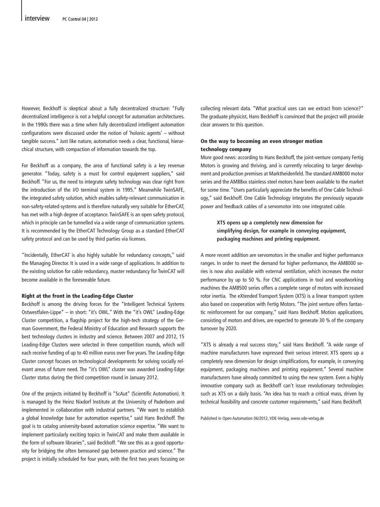However, Beckhoff is skeptical about a fully decentralized structure: "Fully decentralized intelligence is not a helpful concept for automation architectures. In the 1990s there was a time when fully decentralized intelligent automation configurations were discussed under the notion of 'holonic agents' – without tangible success." Just like nature, automation needs a clear, functional, hierarchical structure, with compaction of information towards the top.

For Beckhoff as a company, the area of functional safety is a key revenue generator. "Today, safety is a must for control equipment suppliers," said Beckhoff. "For us, the need to integrate safety technology was clear right from the introduction of the I/O terminal system in 1995." Meanwhile TwinSAFE, the integrated safety solution, which enables safety-relevant communication in non-safety-related systems and is therefore naturally very suitable for EtherCAT, has met with a high degree of acceptance. TwinSAFE is an open safety protocol, which in principle can be tunnelled via a wide range of communication systems. It is recommended by the EtherCAT Technology Group as a standard EtherCAT safety protocol and can be used by third parties via licenses.

"Incidentally, EtherCAT is also highly suitable for redundancy concepts," said the Managing Director. It is used in a wide range of applications. In addition to the existing solution for cable redundancy, master redundancy for TwinCAT will become available in the foreseeable future.

#### Right at the front in the Leading-Edge Cluster

Beckhoff is among the driving forces for the "Intelligent Technical Systems Ostwestfalen-Lippe" – in short: "it's OWL." With the "it's OWL" Leading-Edge Cluster competition, a flagship project for the high-tech strategy of the German Government, the Federal Ministry of Education and Research supports the best technology clusters in industry and science. Between 2007 and 2012, 15 Leading-Edge Clusters were selected in three competition rounds, which will each receive funding of up to 40 million euros over five years. The Leading-Edge Cluster concept focuses on technological developments for solving socially relevant areas of future need. The "it's OWL" cluster was awarded Leading-Edge Cluster status during the third competition round in January 2012.

One of the projects initiated by Beckhoff is "ScAut" (Scientific Automation). It is managed by the Heinz Nixdorf Institute at the University of Paderborn and implemented in collaboration with industrial partners. "We want to establish a global knowledge base for automation expertise," said Hans Beckhoff. The goal is to catalog university-based automation science expertise. "We want to implement particularly exciting topics in TwinCAT and make them available in the form of software libraries", said Beckhoff. "We see this as a good opportunity for bridging the often bemoaned gap between practice and science." The project is initially scheduled for four years, with the first two years focusing on

collecting relevant data. "What practical uses can we extract from science?" The graduate physicist, Hans Beckhoff is convinced that the project will provide clear answers to this question.

#### On the way to becoming an even stronger motion technology company

More good news: according to Hans Beckhoff, the joint-venture company Fertig Motors is growing and thriving, and is currently relocating to larger development and production premises at Marktheidenfeld. The standard AM8000 motor series and the AM88xx stainless steel motors have been available to the market for some time. "Users particularly appreciate the benefits of One Cable Technology," said Beckhoff. One Cable Technology integrates the previously separate power and feedback cables of a servomotor into one integrated cable.

## **XTS opens up a completely new dimension for simplifying design, for example in conveying equipment, packaging machines and printing equipment.**

A more recent addition are servomotors in the smaller and higher performance ranges. In order to meet the demand for higher performance, the AM8000 series is now also available with external ventilation, which increases the motor performance by up to 50 %. For CNC applications in tool and woodworking machines the AM8500 series offers a complete range of motors with increased rotor inertia. The eXtended Transport System (XTS) is a linear transport system also based on cooperation with Fertig Motors. "The joint venture offers fantastic reinforcement for our company," said Hans Beckhoff. Motion applications, consisting of motors and drives, are expected to generate 30 % of the company turnover by 2020.

"XTS is already a real success story," said Hans Beckhoff. "A wide range of machine manufacturers have expressed their serious interest. XTS opens up a completely new dimension for design simplifications, for example, in conveying equipment, packaging machines and printing equipment." Several machine manufacturers have already committed to using the new system. Even a highly innovative company such as Beckhoff can't issue revolutionary technologies such as XTS on a daily basis. "An idea has to reach a critical mass, driven by technical feasibility and concrete customer requirements," said Hans Beckhoff.

Published in Open Automation 06/2012, VDE-Verlag, www.vde-verlag.de